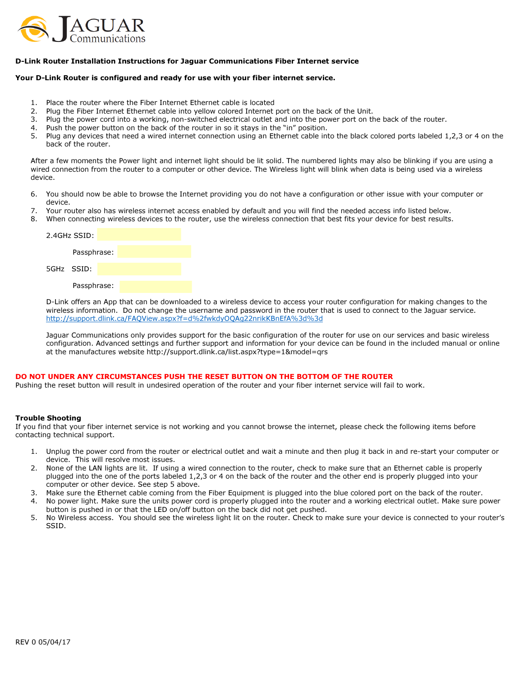

# D-Link Router Installation Instructions for Jaguar Communications Fiber Internet service

### Your D-Link Router is configured and ready for use with your fiber internet service.

- 1. Place the router where the Fiber Internet Ethernet cable is located
- 2. Plug the Fiber Internet Ethernet cable into yellow colored Internet port on the back of the Unit.
- 3. Plug the power cord into a working, non-switched electrical outlet and into the power port on the back of the router.
- 4. Push the power button on the back of the router in so it stays in the "in" position.<br>5. Plug any devices that need a wired internet connection using an Ethernet cable in
- Plug any devices that need a wired internet connection using an Ethernet cable into the black colored ports labeled 1,2,3 or 4 on the back of the router.

After a few moments the Power light and internet light should be lit solid. The numbered lights may also be blinking if you are using a wired connection from the router to a computer or other device. The Wireless light will blink when data is being used via a wireless device.

- 6. You should now be able to browse the Internet providing you do not have a configuration or other issue with your computer or device.
- 7. Your router also has wireless internet access enabled by default and you will find the needed access info listed below.
- 8. When connecting wireless devices to the router, use the wireless connection that best fits your device for best results.



D-Link offers an App that can be downloaded to a wireless device to access your router configuration for making changes to the wireless information. Do not change the username and password in the router that is used to connect to the Jaguar service. http://support.dlink.ca/FAQView.aspx?f=d%2fwkdyOQAg22nrikKBnEfA%3d%3d

Jaguar Communications only provides support for the basic configuration of the router for use on our services and basic wireless configuration. Advanced settings and further support and information for your device can be found in the included manual or online at the manufactures website http://support.dlink.ca/list.aspx?type=1&model=qrs

### DO NOT UNDER ANY CIRCUMSTANCES PUSH THE RESET BUTTON ON THE BOTTOM OF THE ROUTER

Pushing the reset button will result in undesired operation of the router and your fiber internet service will fail to work.

## Trouble Shooting

If you find that your fiber internet service is not working and you cannot browse the internet, please check the following items before contacting technical support.

- 1. Unplug the power cord from the router or electrical outlet and wait a minute and then plug it back in and re-start your computer or device. This will resolve most issues.
- 2. None of the LAN lights are lit. If using a wired connection to the router, check to make sure that an Ethernet cable is properly plugged into the one of the ports labeled 1,2,3 or 4 on the back of the router and the other end is properly plugged into your computer or other device. See step 5 above.
- 3. Make sure the Ethernet cable coming from the Fiber Equipment is plugged into the blue colored port on the back of the router.
- 4. No power light. Make sure the units power cord is properly plugged into the router and a working electrical outlet. Make sure power button is pushed in or that the LED on/off button on the back did not get pushed.
- 5. No Wireless access. You should see the wireless light lit on the router. Check to make sure your device is connected to your router's SSID.